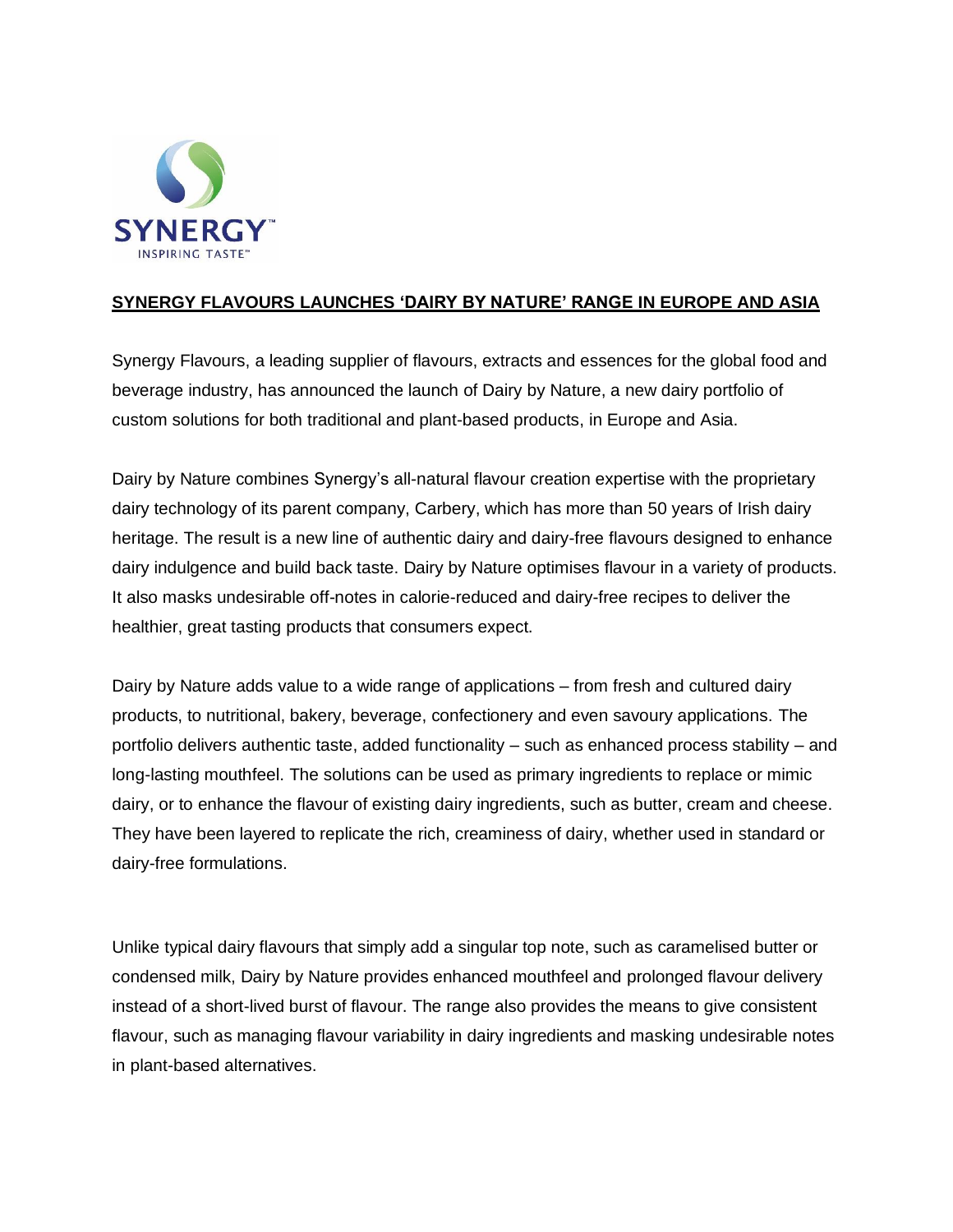

## **SYNERGY FLAVOURS LAUNCHES 'DAIRY BY NATURE' RANGE IN EUROPE AND ASIA**

Synergy Flavours, a leading supplier of flavours, extracts and essences for the global food and beverage industry, has announced the launch of Dairy by Nature, a new dairy portfolio of custom solutions for both traditional and plant-based products, in Europe and Asia.

Dairy by Nature combines Synergy's all-natural flavour creation expertise with the proprietary dairy technology of its parent company, Carbery, which has more than 50 years of Irish dairy heritage. The result is a new line of authentic dairy and dairy-free flavours designed to enhance dairy indulgence and build back taste. Dairy by Nature optimises flavour in a variety of products. It also masks undesirable off-notes in calorie-reduced and dairy-free recipes to deliver the healthier, great tasting products that consumers expect.

Dairy by Nature adds value to a wide range of applications – from fresh and cultured dairy products, to nutritional, bakery, beverage, confectionery and even savoury applications. The portfolio delivers authentic taste, added functionality – such as enhanced process stability – and long-lasting mouthfeel. The solutions can be used as primary ingredients to replace or mimic dairy, or to enhance the flavour of existing dairy ingredients, such as butter, cream and cheese. They have been layered to replicate the rich, creaminess of dairy, whether used in standard or dairy-free formulations.

Unlike typical dairy flavours that simply add a singular top note, such as caramelised butter or condensed milk, Dairy by Nature provides enhanced mouthfeel and prolonged flavour delivery instead of a short-lived burst of flavour. The range also provides the means to give consistent flavour, such as managing flavour variability in dairy ingredients and masking undesirable notes in plant-based alternatives.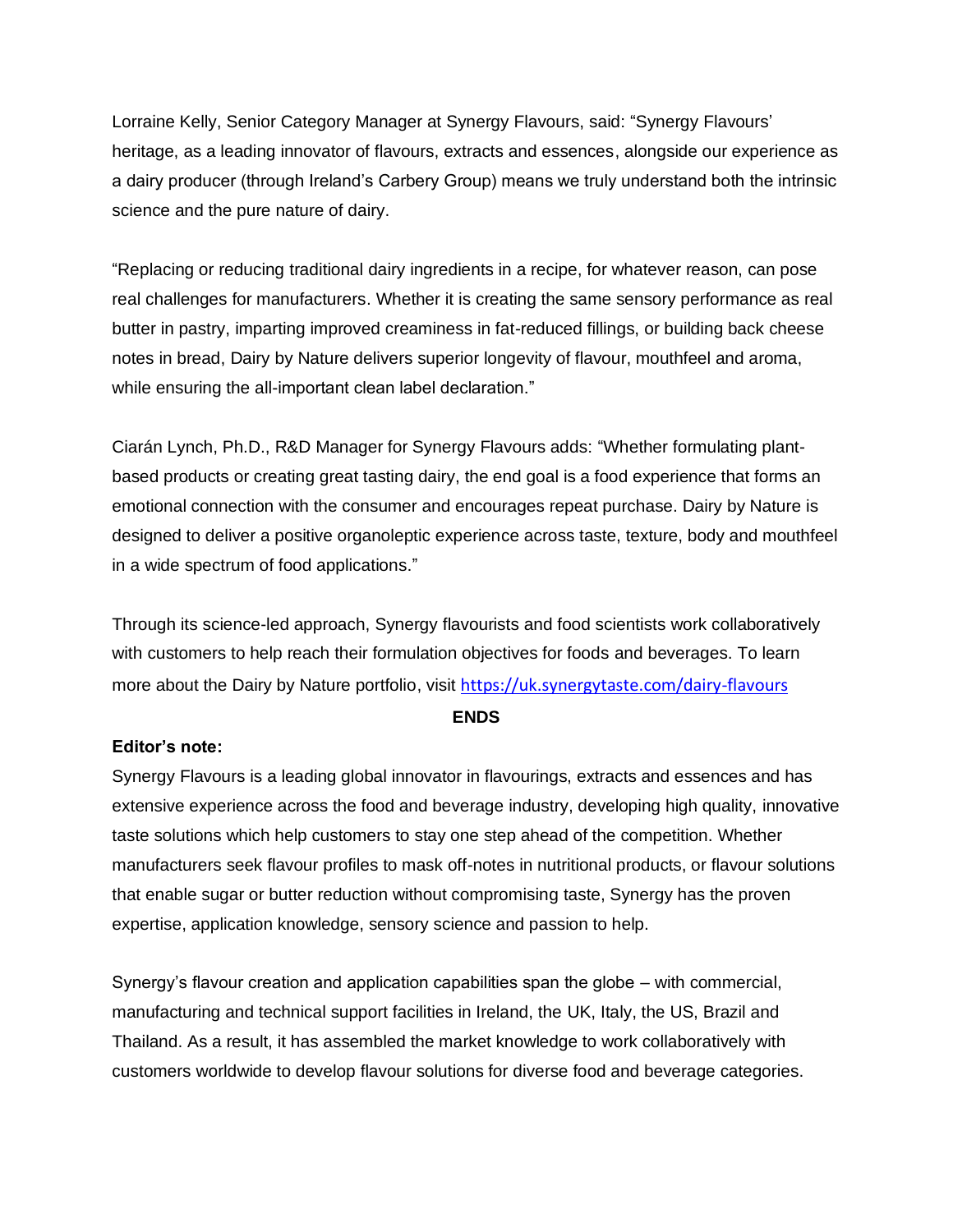Lorraine Kelly, Senior Category Manager at Synergy Flavours, said: "Synergy Flavours' heritage, as a leading innovator of flavours, extracts and essences, alongside our experience as a dairy producer (through Ireland's Carbery Group) means we truly understand both the intrinsic science and the pure nature of dairy.

"Replacing or reducing traditional dairy ingredients in a recipe, for whatever reason, can pose real challenges for manufacturers. Whether it is creating the same sensory performance as real butter in pastry, imparting improved creaminess in fat-reduced fillings, or building back cheese notes in bread, Dairy by Nature delivers superior longevity of flavour, mouthfeel and aroma, while ensuring the all-important clean label declaration."

Ciarán Lynch, Ph.D., R&D Manager for Synergy Flavours adds: "Whether formulating plantbased products or creating great tasting dairy, the end goal is a food experience that forms an emotional connection with the consumer and encourages repeat purchase. Dairy by Nature is designed to deliver a positive organoleptic experience across taste, texture, body and mouthfeel in a wide spectrum of food applications."

Through its science-led approach, Synergy flavourists and food scientists work collaboratively with customers to help reach their formulation objectives for foods and beverages. To learn more about the Dairy by Nature portfolio, visit [https://uk.synergytaste.com/dairy-flavours](https://uk.synergytaste.com/dairy-flavours?utm_source=Press_Release&utm_medium=Link&utm_campaign=Dairy_by_Nature)

## **ENDS**

## **Editor's note:**

Synergy Flavours is a leading global innovator in flavourings, extracts and essences and has extensive experience across the food and beverage industry, developing high quality, innovative taste solutions which help customers to stay one step ahead of the competition. Whether manufacturers seek flavour profiles to mask off-notes in nutritional products, or flavour solutions that enable sugar or butter reduction without compromising taste, Synergy has the proven expertise, application knowledge, sensory science and passion to help.

Synergy's flavour creation and application capabilities span the globe – with commercial, manufacturing and technical support facilities in Ireland, the UK, Italy, the US, Brazil and Thailand. As a result, it has assembled the market knowledge to work collaboratively with customers worldwide to develop flavour solutions for diverse food and beverage categories.